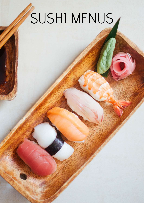# SUSHI MENUS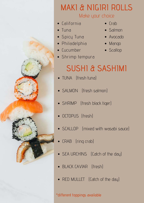

# MAKI & NIGIRI ROLLS

#### Make your choice

- California
- Tuna
- Spicy Tuna
- Philadelphia
- Cucumber
- Shrimp tempura
- $\bullet$  Crab
- Salmon
- Avocado
- Mango
- Scallop

## SUSHI & SASHIMI

- TUNA (fresh tuna)
- SALMON (fresh salmon)
- SHRIMP (fresh black tiger)
- OCTOPUS (fresh)
- SCALLOP (mixed with wasabi sauce)
- CRAB (ring crab)
- SEA URCHINS (Catch of the day)
- BLACK CAVIAR (fresh)
- RED MULLET (Catch of the day)

\*different toppings available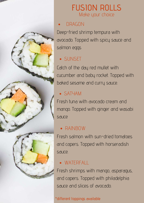

## FUSION ROLLS Make your choice

#### DRAGON

Deep-fried shrimp tempura with avocado. Topped with spicy sauce and salmon eggs

### SUNSET

Catch of the day red mullet with cucumber and baby rocket. Topped with baked sesame and curry sauce.

#### SATYAM

Fresh tuna with avocado cream and mango. Topped with ginger and wasabi sauce

#### RAINBOW

Fresh salmon with sun-dried tomatoes and capers. Topped with horseradish sauce.

### WATERFALL

Fresh shrimps with mango, asparagus, and capers. Topped with philadelphia sauce and slices of avocado.

#### \*different toppings available